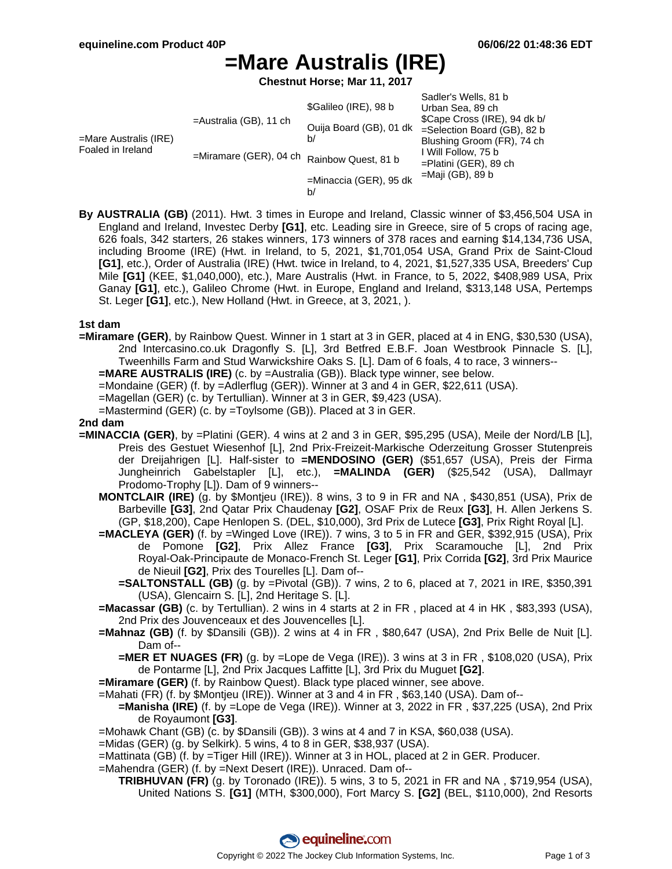# **=Mare Australis (IRE)**

**Chestnut Horse; Mar 11, 2017**

|                                               |                                                        |                         | Sadler's Wells, 81 b         |
|-----------------------------------------------|--------------------------------------------------------|-------------------------|------------------------------|
| $=$ Mare Australis (IRE)<br>Foaled in Ireland | $=$ Australia (GB), 11 ch<br>$=$ Miramare (GER), 04 ch | \$Galileo (IRE), 98 b   | Urban Sea, 89 ch             |
|                                               |                                                        |                         | \$Cape Cross (IRE), 94 dk b/ |
|                                               |                                                        | Ouija Board (GB), 01 dk | =Selection Board (GB), 82 b  |
|                                               |                                                        | b/                      | Blushing Groom (FR), 74 ch   |
|                                               |                                                        | Rainbow Quest, 81 b     | I Will Follow, 75 b          |
|                                               |                                                        |                         | $=$ Platini (GER), 89 ch     |
|                                               |                                                        | =Minaccia (GER), 95 dk  | =Maji (GB), 89 b             |
|                                               |                                                        | b/                      |                              |

**By AUSTRALIA (GB)** (2011). Hwt. 3 times in Europe and Ireland, Classic winner of \$3,456,504 USA in England and Ireland, Investec Derby **[G1]**, etc. Leading sire in Greece, sire of 5 crops of racing age, 626 foals, 342 starters, 26 stakes winners, 173 winners of 378 races and earning \$14,134,736 USA, including Broome (IRE) (Hwt. in Ireland, to 5, 2021, \$1,701,054 USA, Grand Prix de Saint-Cloud **[G1]**, etc.), Order of Australia (IRE) (Hwt. twice in Ireland, to 4, 2021, \$1,527,335 USA, Breeders' Cup Mile **[G1]** (KEE, \$1,040,000), etc.), Mare Australis (Hwt. in France, to 5, 2022, \$408,989 USA, Prix Ganay **[G1]**, etc.), Galileo Chrome (Hwt. in Europe, England and Ireland, \$313,148 USA, Pertemps St. Leger **[G1]**, etc.), New Holland (Hwt. in Greece, at 3, 2021, ).

### **1st dam**

**=Miramare (GER)**, by Rainbow Quest. Winner in 1 start at 3 in GER, placed at 4 in ENG, \$30,530 (USA), 2nd Intercasino.co.uk Dragonfly S. [L], 3rd Betfred E.B.F. Joan Westbrook Pinnacle S. [L], Tweenhills Farm and Stud Warwickshire Oaks S. [L]. Dam of 6 foals, 4 to race, 3 winners--

**=MARE AUSTRALIS (IRE)** (c. by =Australia (GB)). Black type winner, see below.

=Mondaine (GER) (f. by =Adlerflug (GER)). Winner at 3 and 4 in GER, \$22,611 (USA).

=Magellan (GER) (c. by Tertullian). Winner at 3 in GER, \$9,423 (USA).

=Mastermind (GER) (c. by =Toylsome (GB)). Placed at 3 in GER.

### **2nd dam**

- **=MINACCIA (GER)**, by =Platini (GER). 4 wins at 2 and 3 in GER, \$95,295 (USA), Meile der Nord/LB [L], Preis des Gestuet Wiesenhof [L], 2nd Prix-Freizeit-Markische Oderzeitung Grosser Stutenpreis der Dreijahrigen [L]. Half-sister to **=MENDOSINO (GER)** (\$51,657 (USA), Preis der Firma Jungheinrich Gabelstapler [L], etc.), **=MALINDA (GER)** (\$25,542 (USA), Dallmayr Prodomo-Trophy [L]). Dam of 9 winners--
	- **MONTCLAIR (IRE)** (g. by \$Montjeu (IRE)). 8 wins, 3 to 9 in FR and NA , \$430,851 (USA), Prix de Barbeville **[G3]**, 2nd Qatar Prix Chaudenay **[G2]**, OSAF Prix de Reux **[G3]**, H. Allen Jerkens S. (GP, \$18,200), Cape Henlopen S. (DEL, \$10,000), 3rd Prix de Lutece **[G3]**, Prix Right Royal [L].
	- **=MACLEYA (GER)** (f. by =Winged Love (IRE)). 7 wins, 3 to 5 in FR and GER, \$392,915 (USA), Prix de Pomone **[G2]**, Prix Allez France **[G3]**, Prix Scaramouche [L], 2nd Prix Royal-Oak-Principaute de Monaco-French St. Leger **[G1]**, Prix Corrida **[G2]**, 3rd Prix Maurice de Nieuil **[G2]**, Prix des Tourelles [L]. Dam of--
		- **=SALTONSTALL (GB)** (g. by =Pivotal (GB)). 7 wins, 2 to 6, placed at 7, 2021 in IRE, \$350,391 (USA), Glencairn S. [L], 2nd Heritage S. [L].
	- **=Macassar (GB)** (c. by Tertullian). 2 wins in 4 starts at 2 in FR , placed at 4 in HK , \$83,393 (USA), 2nd Prix des Jouvenceaux et des Jouvencelles [L].
	- **=Mahnaz (GB)** (f. by \$Dansili (GB)). 2 wins at 4 in FR , \$80,647 (USA), 2nd Prix Belle de Nuit [L]. Dam of--
		- **=MER ET NUAGES (FR)** (g. by =Lope de Vega (IRE)). 3 wins at 3 in FR , \$108,020 (USA), Prix de Pontarme [L], 2nd Prix Jacques Laffitte [L], 3rd Prix du Muguet **[G2]**.
	- **=Miramare (GER)** (f. by Rainbow Quest). Black type placed winner, see above.
	- =Mahati (FR) (f. by \$Montjeu (IRE)). Winner at 3 and 4 in FR , \$63,140 (USA). Dam of--
		- **=Manisha (IRE)** (f. by =Lope de Vega (IRE)). Winner at 3, 2022 in FR , \$37,225 (USA), 2nd Prix de Royaumont **[G3]**.
	- =Mohawk Chant (GB) (c. by \$Dansili (GB)). 3 wins at 4 and 7 in KSA, \$60,038 (USA).
	- =Midas (GER) (g. by Selkirk). 5 wins, 4 to 8 in GER, \$38,937 (USA).
	- =Mattinata (GB) (f. by =Tiger Hill (IRE)). Winner at 3 in HOL, placed at 2 in GER. Producer.
	- =Mahendra (GER) (f. by =Next Desert (IRE)). Unraced. Dam of--
		- **TRIBHUVAN (FR)** (g. by Toronado (IRE)). 5 wins, 3 to 5, 2021 in FR and NA , \$719,954 (USA), United Nations S. **[G1]** (MTH, \$300,000), Fort Marcy S. **[G2]** (BEL, \$110,000), 2nd Resorts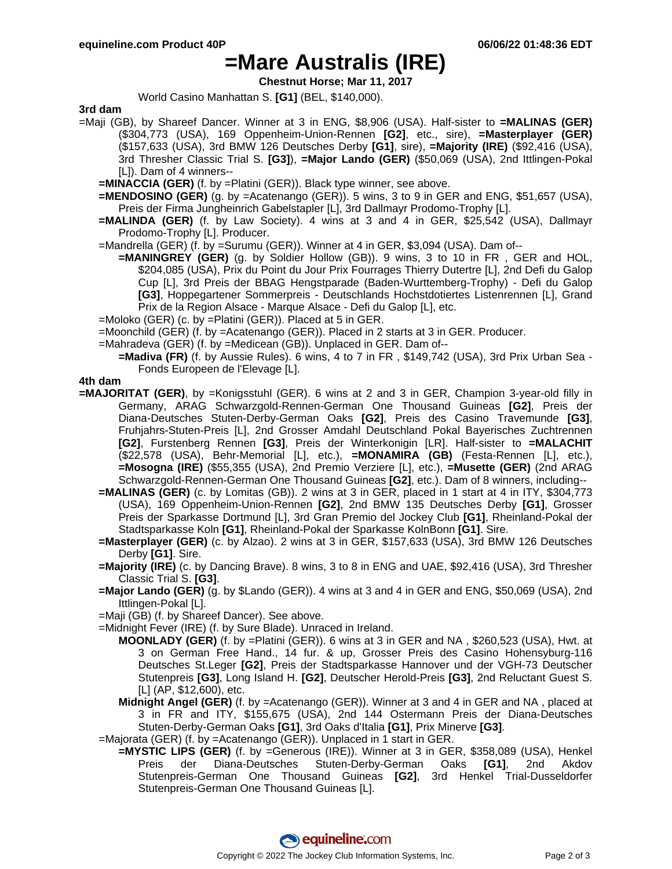### **=Mare Australis (IRE)**

**Chestnut Horse; Mar 11, 2017**

World Casino Manhattan S. **[G1]** (BEL, \$140,000).

#### **3rd dam**

- =Maji (GB), by Shareef Dancer. Winner at 3 in ENG, \$8,906 (USA). Half-sister to **=MALINAS (GER)** (\$304,773 (USA), 169 Oppenheim-Union-Rennen **[G2]**, etc., sire), **=Masterplayer (GER)** (\$157,633 (USA), 3rd BMW 126 Deutsches Derby **[G1]**, sire), **=Majority (IRE)** (\$92,416 (USA), 3rd Thresher Classic Trial S. **[G3]**), **=Major Lando (GER)** (\$50,069 (USA), 2nd Ittlingen-Pokal [L]). Dam of 4 winners--
	- **=MINACCIA (GER)** (f. by =Platini (GER)). Black type winner, see above.
	- **=MENDOSINO (GER)** (g. by =Acatenango (GER)). 5 wins, 3 to 9 in GER and ENG, \$51,657 (USA), Preis der Firma Jungheinrich Gabelstapler [L], 3rd Dallmayr Prodomo-Trophy [L].
	- **=MALINDA (GER)** (f. by Law Society). 4 wins at 3 and 4 in GER, \$25,542 (USA), Dallmayr Prodomo-Trophy [L]. Producer.
	- =Mandrella (GER) (f. by =Surumu (GER)). Winner at 4 in GER, \$3,094 (USA). Dam of--
		- **=MANINGREY (GER)** (g. by Soldier Hollow (GB)). 9 wins, 3 to 10 in FR , GER and HOL, \$204,085 (USA), Prix du Point du Jour Prix Fourrages Thierry Dutertre [L], 2nd Defi du Galop Cup [L], 3rd Preis der BBAG Hengstparade (Baden-Wurttemberg-Trophy) - Defi du Galop **[G3]**, Hoppegartener Sommerpreis - Deutschlands Hochstdotiertes Listenrennen [L], Grand Prix de la Region Alsace - Marque Alsace - Defi du Galop [L], etc.
	- =Moloko (GER) (c. by =Platini (GER)). Placed at 5 in GER.

=Moonchild (GER) (f. by =Acatenango (GER)). Placed in 2 starts at 3 in GER. Producer.

- =Mahradeva (GER) (f. by =Medicean (GB)). Unplaced in GER. Dam of--
	- **=Madiva (FR)** (f. by Aussie Rules). 6 wins, 4 to 7 in FR , \$149,742 (USA), 3rd Prix Urban Sea Fonds Europeen de l'Elevage [L].

### **4th dam**

- **=MAJORITAT (GER)**, by =Konigsstuhl (GER). 6 wins at 2 and 3 in GER, Champion 3-year-old filly in Germany, ARAG Schwarzgold-Rennen-German One Thousand Guineas **[G2]**, Preis der Diana-Deutsches Stuten-Derby-German Oaks **[G2]**, Preis des Casino Travemunde **[G3]**, Fruhjahrs-Stuten-Preis [L], 2nd Grosser Amdahl Deutschland Pokal Bayerisches Zuchtrennen **[G2]**, Furstenberg Rennen **[G3]**, Preis der Winterkonigin [LR]. Half-sister to **=MALACHIT** (\$22,578 (USA), Behr-Memorial [L], etc.), **=MONAMIRA (GB)** (Festa-Rennen [L], etc.), **=Mosogna (IRE)** (\$55,355 (USA), 2nd Premio Verziere [L], etc.), **=Musette (GER)** (2nd ARAG Schwarzgold-Rennen-German One Thousand Guineas **[G2]**, etc.). Dam of 8 winners, including--
	- **=MALINAS (GER)** (c. by Lomitas (GB)). 2 wins at 3 in GER, placed in 1 start at 4 in ITY, \$304,773 (USA), 169 Oppenheim-Union-Rennen **[G2]**, 2nd BMW 135 Deutsches Derby **[G1]**, Grosser Preis der Sparkasse Dortmund [L], 3rd Gran Premio del Jockey Club **[G1]**, Rheinland-Pokal der Stadtsparkasse Koln **[G1]**, Rheinland-Pokal der Sparkasse KolnBonn **[G1]**. Sire.
	- **=Masterplayer (GER)** (c. by Alzao). 2 wins at 3 in GER, \$157,633 (USA), 3rd BMW 126 Deutsches Derby **[G1]**. Sire.
	- **=Majority (IRE)** (c. by Dancing Brave). 8 wins, 3 to 8 in ENG and UAE, \$92,416 (USA), 3rd Thresher Classic Trial S. **[G3]**.
	- **=Major Lando (GER)** (g. by \$Lando (GER)). 4 wins at 3 and 4 in GER and ENG, \$50,069 (USA), 2nd Ittlingen-Pokal [L].
	- =Maji (GB) (f. by Shareef Dancer). See above.
	- =Midnight Fever (IRE) (f. by Sure Blade). Unraced in Ireland.
		- **MOONLADY (GER)** (f. by =Platini (GER)). 6 wins at 3 in GER and NA , \$260,523 (USA), Hwt. at 3 on German Free Hand., 14 fur. & up, Grosser Preis des Casino Hohensyburg-116 Deutsches St.Leger **[G2]**, Preis der Stadtsparkasse Hannover und der VGH-73 Deutscher Stutenpreis **[G3]**, Long Island H. **[G2]**, Deutscher Herold-Preis **[G3]**, 2nd Reluctant Guest S. [L] (AP, \$12,600), etc.
		- **Midnight Angel (GER)** (f. by =Acatenango (GER)). Winner at 3 and 4 in GER and NA , placed at 3 in FR and ITY, \$155,675 (USA), 2nd 144 Ostermann Preis der Diana-Deutsches Stuten-Derby-German Oaks **[G1]**, 3rd Oaks d'Italia **[G1]**, Prix Minerve **[G3]**.
	- =Majorata (GER) (f. by =Acatenango (GER)). Unplaced in 1 start in GER.
		- **=MYSTIC LIPS (GER)** (f. by =Generous (IRE)). Winner at 3 in GER, \$358,089 (USA), Henkel Preis der Diana-Deutsches Stuten-Derby-German Oaks **[G1]**, 2nd Akdov Stutenpreis-German One Thousand Guineas **[G2]**, 3rd Henkel Trial-Dusseldorfer Stutenpreis-German One Thousand Guineas [L].